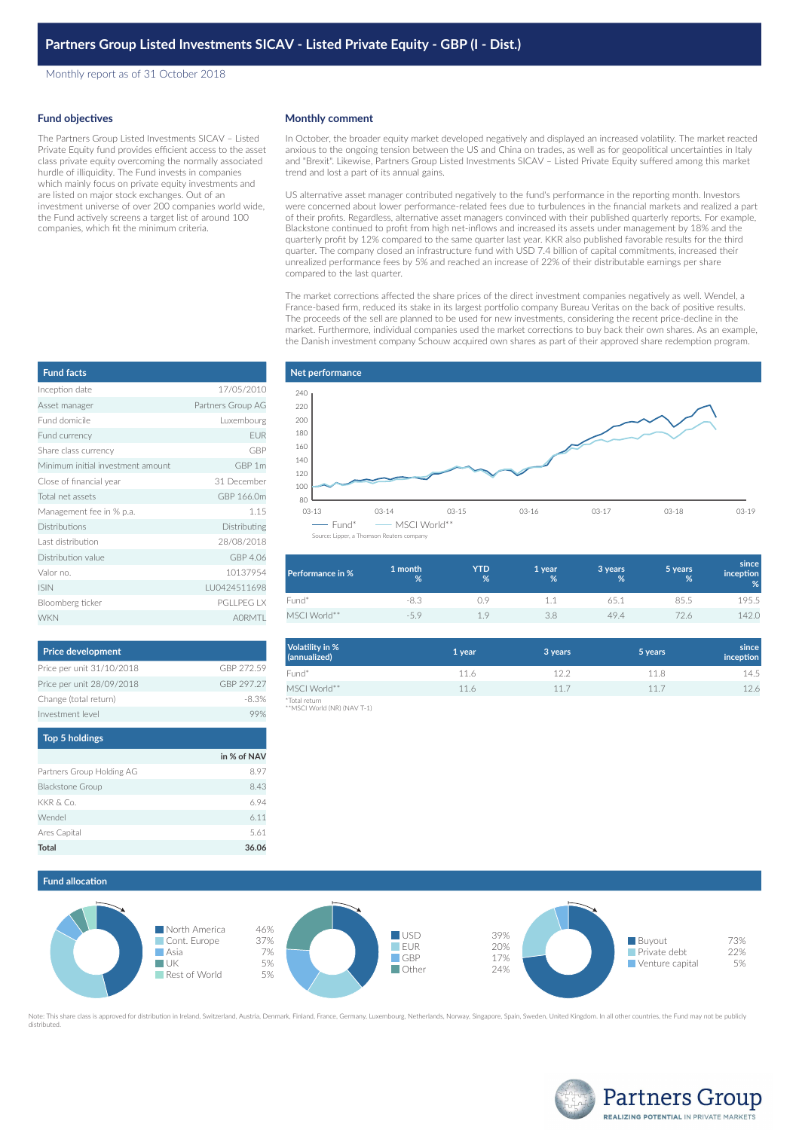Monthly report as of 31 October 2018

## **Fund objectives**

**Fund facts**

The Partners Group Listed Investments SICAV – Listed Private Equity fund provides efficient access to the asset class private equity overcoming the normally associated hurdle of illiquidity. The Fund invests in companies which mainly focus on private equity investments and are listed on major stock exchanges. Out of an investment universe of over 200 companies world wide, the Fund actively screens a target list of around 100 companies, which fit the minimum criteria.

### **Monthly comment**

In October, the broader equity market developed negatively and displayed an increased volatility. The market reacted anxious to the ongoing tension between the US and China on trades, as well as for geopolitical uncertainties in Italy and "Brexit". Likewise, Partners Group Listed Investments SICAV – Listed Private Equity suffered among this market trend and lost a part of its annual gains.

US alternative asset manager contributed negatively to the fund's performance in the reporting month. Investors were concerned about lower performance-related fees due to turbulences in the financial markets and realized a part of their profits. Regardless, alternative asset managers convinced with their published quarterly reports. For example, Blackstone continued to profit from high net-inflows and increased its assets under management by 18% and the quarterly profit by 12% compared to the same quarter last year. KKR also published favorable results for the third quarter. The company closed an infrastructure fund with USD 7.4 billion of capital commitments, increased their unrealized performance fees by 5% and reached an increase of 22% of their distributable earnings per share compared to the last quarter.

The market corrections affected the share prices of the direct investment companies negatively as well. Wendel, a France-based firm, reduced its stake in its largest portfolio company Bureau Veritas on the back of positive results. The proceeds of the sell are planned to be used for new investments, considering the recent price-decline in the market. Furthermore, individual companies used the market corrections to buy back their own shares. As an example, the Danish investment company Schouw acquired own shares as part of their approved share redemption program.



| <b>Performance in %</b> | 1 month<br>% | YTD<br>% | 1 year<br>% | 3 years<br>% | 5 years<br>% | since<br><i>inception</i><br>% |
|-------------------------|--------------|----------|-------------|--------------|--------------|--------------------------------|
| Fund*                   | -8.3         | 19       |             | 65.1         | 85.5         | 195.5                          |
| MSCI World**            | $-59$        | 1.9      | 3.8         | 49.4         |              | 142.0                          |

| <b>Volatility in %</b><br>(annualized)       | 1 year | 3 years | 5 years | since<br>inception |
|----------------------------------------------|--------|---------|---------|--------------------|
| Fund*                                        | 11.6   | 12.2    | 11.8    | 14.5               |
| MSCI World**                                 | 11.6   | 11.7    | 11.7    | 12.6               |
| *Total return<br>**MSCI World (NR) (NAV T-1) |        |         |         |                    |

| Vendel       |  |
|--------------|--|
| vres Capital |  |
| otal         |  |
|              |  |





Note: This share class is approved for distribution in Ireland, Switzerland, Austria, Denmark, Finland, France, Germany, Luxembourg, Netherlands, Norway, Singapore, Spain, Sweden, United Kingdom. In all other countries, th distributed



| Inception date                    | 17/05/2010        |
|-----------------------------------|-------------------|
| Asset manager                     | Partners Group AG |
| Fund domicile                     | Luxembourg        |
| Fund currency                     | <b>FUR</b>        |
| Share class currency              | GBP               |
| Minimum initial investment amount | GBP 1m            |
| Close of financial year           | 31 December       |
| Total net assets                  | GBP 166.0m        |
| Management fee in % p.a.          | 1.15              |
| <b>Distributions</b>              | Distributing      |
| Last distribution                 | 28/08/2018        |
| Distribution value                | GBP 4.06          |
| Valor no.                         | 10137954          |
| <b>ISIN</b>                       | LU0424511698      |
| Bloomberg ticker                  | <b>PGLLPEG LX</b> |
| <b>WKN</b>                        | <b>AORMTI</b>     |

| <b>Price development</b>  |            |
|---------------------------|------------|
| Price per unit 31/10/2018 | GBP 272.59 |
| Price per unit 28/09/2018 | GBP 297.27 |
| Change (total return)     | -8.3%      |
| Investment level          |            |

| <b>Top 5 holdings</b>     |             |
|---------------------------|-------------|
|                           | in % of NAV |
| Partners Group Holding AG | 8.97        |
| <b>Blackstone Group</b>   | 8.43        |
| KKR & Co.                 | 6.94        |
| Wendel                    | 6.11        |
| Ares Capital              | 5.61        |
| <b>Total</b>              | 36.06       |